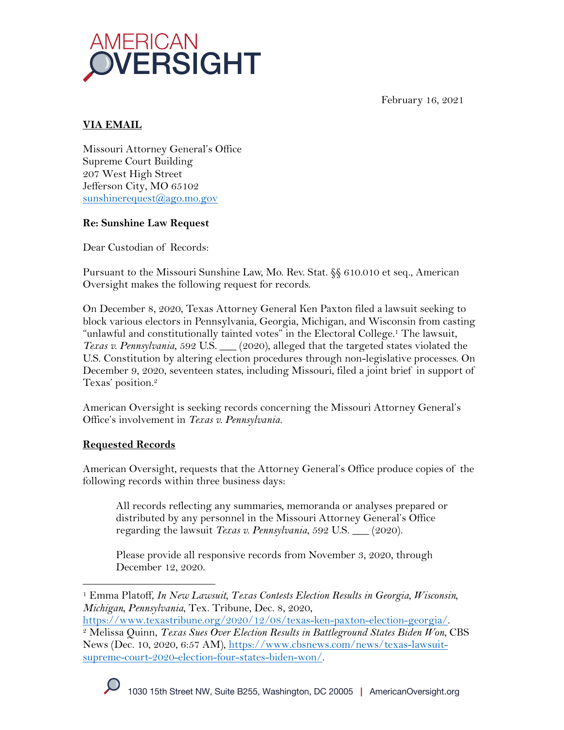February 16, 2021



## **VIA EMAIL**

Missouri Attorney General's Office Supreme Court Building 207 West High Street Jefferson City, MO 65102 sunshinerequest@ago.mo.gov

## **Re: Sunshine Law Request**

Dear Custodian of Records:

Pursuant to the Missouri Sunshine Law, Mo. Rev. Stat. §§ 610.010 et seq., American Oversight makes the following request for records.

On December 8, 2020, Texas Attorney General Ken Paxton filed a lawsuit seeking to block various electors in Pennsylvania, Georgia, Michigan, and Wisconsin from casting "unlawful and constitutionally tainted votes" in the Electoral College.<sup>1</sup> The lawsuit, *Texas v. Pennsylvania*, 592 U.S. <sub>12020</sub>, alleged that the targeted states violated the U.S. Constitution by altering election procedures through non-legislative processes. On December 9, 2020, seventeen states, including Missouri, filed a joint brief in support of Texas' position.2

American Oversight is seeking records concerning the Missouri Attorney General's Office's involvement in *Texas v. Pennsylvania.*

# **Requested Records**

American Oversight, requests that the Attorney General's Office produce copies of the following records within three business days:

All records reflecting any summaries, memoranda or analyses prepared or distributed by any personnel in the Missouri Attorney General's Office regarding the lawsuit *Texas v. Pennsylvania*, 592 U.S. \_\_\_ (2020).

Please provide all responsive records from November 3, 2020, through December 12, 2020.



<sup>1</sup> Emma Platoff, *In New Lawsuit, Texas Contests Election Results in Georgia, Wisconsin, Michigan, Pennsylvania*, Tex. Tribune, Dec. 8, 2020,

https://www.texastribune.org/2020/12/08/texas-ken-paxton-election-georgia/.

<sup>2</sup> Melissa Quinn, *Texas Sues Over Election Results in Battleground States Biden Won*, CBS News (Dec. 10, 2020, 6:57 AM), https://www.cbsnews.com/news/texas-lawsuitsupreme-court-2020-election-four-states-biden-won/.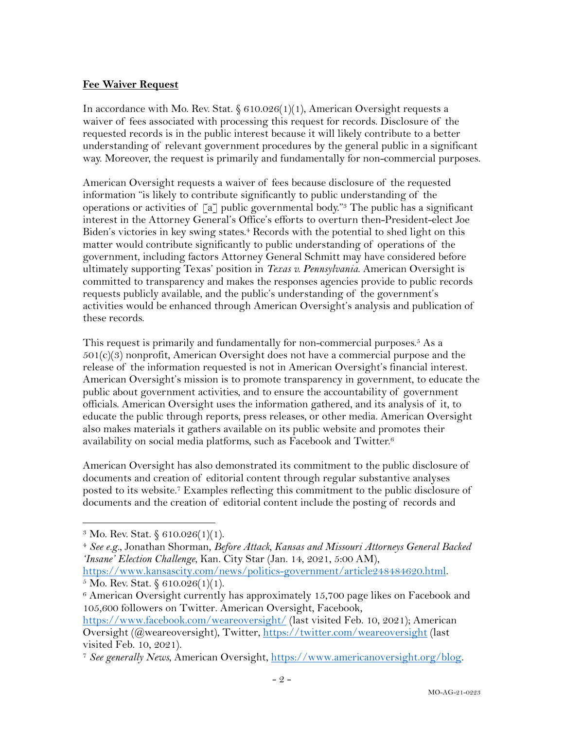#### **Fee Waiver Request**

In accordance with Mo. Rev. Stat.  $\S 610.026(1)(1)$ , American Oversight requests a waiver of fees associated with processing this request for records. Disclosure of the requested records is in the public interest because it will likely contribute to a better understanding of relevant government procedures by the general public in a significant way. Moreover, the request is primarily and fundamentally for non-commercial purposes.

American Oversight requests a waiver of fees because disclosure of the requested information "is likely to contribute significantly to public understanding of the operations or activities of  $\lceil a \rceil$  public governmental body."<sup>3</sup> The public has a significant interest in the Attorney General's Office's efforts to overturn then-President-elect Joe Biden's victories in key swing states. <sup>4</sup> Records with the potential to shed light on this matter would contribute significantly to public understanding of operations of the government, including factors Attorney General Schmitt may have considered before ultimately supporting Texas' position in *Texas v. Pennsylvania*. American Oversight is committed to transparency and makes the responses agencies provide to public records requests publicly available, and the public's understanding of the government's activities would be enhanced through American Oversight's analysis and publication of these records.

This request is primarily and fundamentally for non-commercial purposes.<sup>5</sup> As a  $501(c)(3)$  nonprofit, American Oversight does not have a commercial purpose and the release of the information requested is not in American Oversight's financial interest. American Oversight's mission is to promote transparency in government, to educate the public about government activities, and to ensure the accountability of government officials. American Oversight uses the information gathered, and its analysis of it, to educate the public through reports, press releases, or other media. American Oversight also makes materials it gathers available on its public website and promotes their availability on social media platforms, such as Facebook and Twitter.6

American Oversight has also demonstrated its commitment to the public disclosure of documents and creation of editorial content through regular substantive analyses posted to its website. <sup>7</sup> Examples reflecting this commitment to the public disclosure of documents and the creation of editorial content include the posting of records and

<sup>&</sup>lt;sup>3</sup> Mo. Rev. Stat.  $$610.026(1)(1)$ .

<sup>4</sup> *See e.g.*, Jonathan Shorman, *Before Attack, Kansas and Missouri Attorneys General Backed 'Insane' Election Challenge*, Kan. City Star (Jan. 14, 2021, 5:00 AM), https://www.kansascity.com/news/politics-government/article248484620.html.

 $5$  Mo. Rev. Stat.  $§ 610.026(1)(1)$ .

<sup>6</sup> American Oversight currently has approximately 15,700 page likes on Facebook and 105,600 followers on Twitter. American Oversight, Facebook,

https://www.facebook.com/weareoversight/ (last visited Feb. 10, 2021); American Oversight (@weareoversight), Twitter, https://twitter.com/weareoversight (last visited Feb. 10, 2021).

<sup>7</sup> *See generally News*, American Oversight, https://www.americanoversight.org/blog.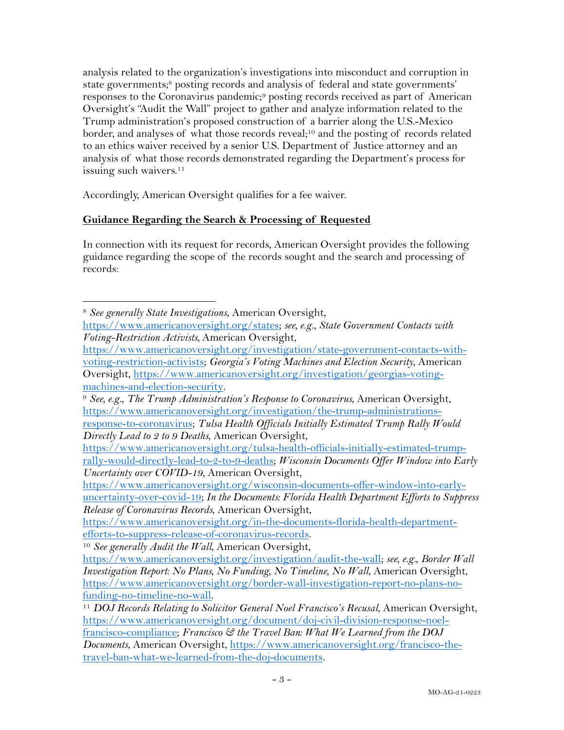analysis related to the organization's investigations into misconduct and corruption in state governments; <sup>8</sup> posting records and analysis of federal and state governments' responses to the Coronavirus pandemic;<sup>9</sup> posting records received as part of American Oversight's "Audit the Wall" project to gather and analyze information related to the Trump administration's proposed construction of a barrier along the U.S.-Mexico border, and analyses of what those records reveal;<sup>10</sup> and the posting of records related to an ethics waiver received by a senior U.S. Department of Justice attorney and an analysis of what those records demonstrated regarding the Department's process for issuing such waivers.<sup>11</sup>

Accordingly, American Oversight qualifies for a fee waiver.

### **Guidance Regarding the Search & Processing of Requested**

In connection with its request for records, American Oversight provides the following guidance regarding the scope of the records sought and the search and processing of records:

<sup>8</sup> *See generally State Investigations*, American Oversight,

https://www.americanoversight.org/states; *see, e.g.*, *State Government Contacts with Voting-Restriction Activists,* American Oversight,

https://www.americanoversight.org/investigation/state-government-contacts-withvoting-restriction-activists; *Georgia's Voting Machines and Election Security*, American Oversight, https://www.americanoversight.org/investigation/georgias-voting-

machines-and-election-security. 9 *See, e.g.*, *The Trump Administration's Response to Coronavirus*, American Oversight, https://www.americanoversight.org/investigation/the-trump-administrations-

response-to-coronavirus; *Tulsa Health Officials Initially Estimated Trump Rally Would Directly Lead to 2 to 9 Deaths*, American Oversight,

https://www.americanoversight.org/tulsa-health-officials-initially-estimated-trumprally-would-directly-lead-to-2-to-9-deaths; *Wisconsin Documents Offer Window into Early Uncertainty over COVID-19*, American Oversight,

https://www.americanoversight.org/wisconsin-documents-offer-window-into-earlyuncertainty-over-covid-19; *In the Documents: Florida Health Department Efforts to Suppress Release of Coronavirus Records*, American Oversight,

https://www.americanoversight.org/in-the-documents-florida-health-departmentefforts-to-suppress-release-of-coronavirus-records. 10 *See generally Audit the Wall*, American Oversight,

https://www.americanoversight.org/investigation/audit-the-wall; *see, e.g.*, *Border Wall Investigation Report: No Plans, No Funding, No Timeline, No Wall*, American Oversight, https://www.americanoversight.org/border-wall-investigation-report-no-plans-nofunding-no-timeline-no-wall. 11 *DOJ Records Relating to Solicitor General Noel Francisco's Recusal*, American Oversight,

https://www.americanoversight.org/document/doj-civil-division-response-noelfrancisco-compliance; *Francisco & the Travel Ban: What We Learned from the DOJ Documents*, American Oversight, https://www.americanoversight.org/francisco-thetravel-ban-what-we-learned-from-the-doj-documents.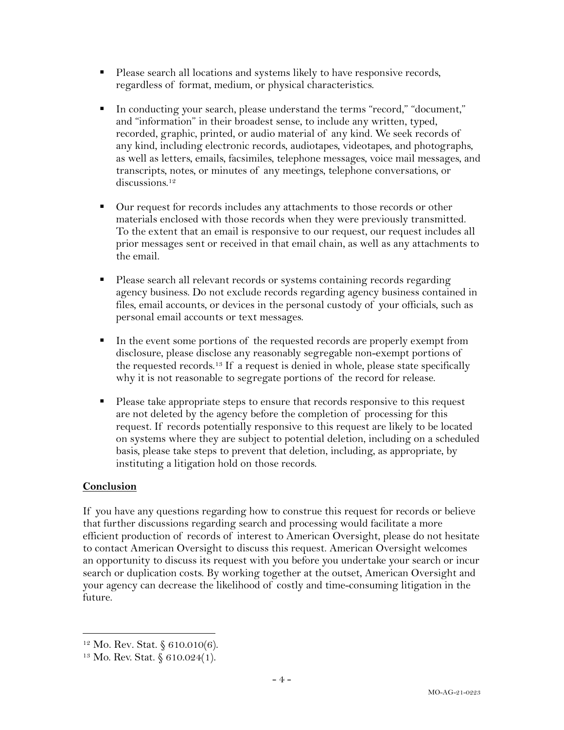- Please search all locations and systems likely to have responsive records, regardless of format, medium, or physical characteristics.
- § In conducting your search, please understand the terms "record," "document," and "information" in their broadest sense, to include any written, typed, recorded, graphic, printed, or audio material of any kind. We seek records of any kind, including electronic records, audiotapes, videotapes, and photographs, as well as letters, emails, facsimiles, telephone messages, voice mail messages, and transcripts, notes, or minutes of any meetings, telephone conversations, or discussions.<sup>12</sup>
- Our request for records includes any attachments to those records or other materials enclosed with those records when they were previously transmitted. To the extent that an email is responsive to our request, our request includes all prior messages sent or received in that email chain, as well as any attachments to the email.
- Please search all relevant records or systems containing records regarding agency business. Do not exclude records regarding agency business contained in files, email accounts, or devices in the personal custody of your officials, such as personal email accounts or text messages.
- In the event some portions of the requested records are properly exempt from disclosure, please disclose any reasonably segregable non-exempt portions of the requested records.13 If a request is denied in whole, please state specifically why it is not reasonable to segregate portions of the record for release.
- § Please take appropriate steps to ensure that records responsive to this request are not deleted by the agency before the completion of processing for this request. If records potentially responsive to this request are likely to be located on systems where they are subject to potential deletion, including on a scheduled basis, please take steps to prevent that deletion, including, as appropriate, by instituting a litigation hold on those records.

### **Conclusion**

If you have any questions regarding how to construe this request for records or believe that further discussions regarding search and processing would facilitate a more efficient production of records of interest to American Oversight, please do not hesitate to contact American Oversight to discuss this request. American Oversight welcomes an opportunity to discuss its request with you before you undertake your search or incur search or duplication costs. By working together at the outset, American Oversight and your agency can decrease the likelihood of costly and time-consuming litigation in the future.

<sup>12</sup> Mo. Rev. Stat. § 610.010(6).

<sup>13</sup> Mo. Rev. Stat. § 610.024(1).